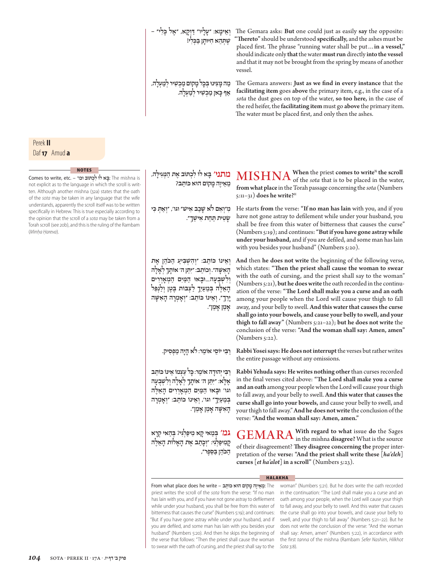# Perek **II** Daf **17** Amud **a**

## **NOTES**

 is mishna The :**בָּ א לוֹ ּ לִ כְ תוֹב וכו׳** – .etc ,write to Comes not explicit as to the language in which the scroll is written. Although another mishna (32a) states that the oath of the *sota* may be taken in any language that the wife understands, apparently the scroll itself was to be written specifically in Hebrew. This is true especially according to the opinion that the scroll of a *sota* may be taken from a Torah scroll (see 20b), and this is the ruling of the Rambam (*Minĥa Ĥareva*).

| <b>מתני׳</b> בָּא לוּ לִכְתּוֹב אֶת הַמְּגִילַה,<br>מֵאֵיזֶה מַקוֹם הוּא כּוֹתֵב?                                                                                                                                                                                      | MISHNA When the priest comes to write <sup>N</sup> the scroll<br>MISHNA of the <i>sota</i> that is to be placed in the water,<br>from what place in the Torah passage concerning the sota (Numbers<br>$(5:11-31)$ does he write? <sup>H</sup>                                                                                                                                                                                                                                                                                                                                                                                                                                                                                        |  |
|------------------------------------------------------------------------------------------------------------------------------------------------------------------------------------------------------------------------------------------------------------------------|--------------------------------------------------------------------------------------------------------------------------------------------------------------------------------------------------------------------------------------------------------------------------------------------------------------------------------------------------------------------------------------------------------------------------------------------------------------------------------------------------------------------------------------------------------------------------------------------------------------------------------------------------------------------------------------------------------------------------------------|--|
| מִ״וְאִם לֹא שָׁכַב אִיש״ וגו׳, ״וְאַתְּ כִּי<br>שַטְית תַּחַת אִישֶׁךָ".                                                                                                                                                                                              | He starts from the verse: "If no man has lain with you, and if you<br>have not gone astray to defilement while under your husband, you<br>shall be free from this water of bitterness that causes the curse"<br>(Numbers 5:19); and continues: "But if you have gone astray while<br>under your husband, and if you are defiled, and some man has lain<br>with you besides your husband" (Numbers 5:20).                                                                                                                                                                                                                                                                                                                             |  |
| וְאֵינוֹ כּוֹתֵב: ״וְהָשְׁבִּיַעַ הַכֹּהֵן אֶת<br>הָאִשָּׁה". וְכוֹתֵב: "יִתֵּן ה' אוֹתָךָ לְאָלָה<br>וִלְשְׁבְעָהוּבָאוּ הַמַּיִם הַמְאָרְרִים<br>הָאֵלֶה בִּמֵעַיִךְ לַצְבּוֹת בָּטֶן וְלַנְפִּל<br>יָרֵךְ״, וְאֵינוֹ כּוֹתֵב: ״וְאָמְרָה הָאִשָּׁה<br>אַמֵן אַמֵן״. | And then he does not write the beginning of the following verse,<br>which states: "Then the priest shall cause the woman to swear<br>with the oath of cursing, and the priest shall say to the woman"<br>(Numbers 5:21), but he does write the oath recorded in the continu-<br>ation of the verse: "The Lord shall make you a curse and an oath<br>among your people when the Lord will cause your thigh to fall<br>away, and your belly to swell. And this water that causes the curse<br>shall go into your bowels, and cause your belly to swell, and your<br>thigh to fall away" (Numbers $\frac{1}{2}$ :21-22); but he does not write the<br>conclusion of the verse: "And the woman shall say: Amen, amen"<br>(Numbers 5:22). |  |
| רַבִּי יוֹסֵי אוֹמֵר: לֹא הָיָה מַפִּסִיק.                                                                                                                                                                                                                             | Rabbi Yosei says: He does not interrupt the verses but rather writes<br>the entire passage without any omissions.                                                                                                                                                                                                                                                                                                                                                                                                                                                                                                                                                                                                                    |  |
| רַבִּי יְהוּדָה אוֹמֵר: כָּל עַצְמוֹ אֵינוֹ כּוֹתֵב<br>אֶלָּא: ״יִתֵּן ה׳ אוֹתָךָ לְאָלָה וִלְשְׁבְעָה<br>וגו׳ וּבָאוּ הַמַּיִם הַמְאַרְרִים הַאֲלֵה<br>בִּמֲעַיְךָ" וּגו׳, וְאֵינוֹ כּוֹתֵב: "וְאָמְרָה<br>הַאִשָּׁה אָמֵן אָמֵן".                                    | Rabbi Yehuda says: He writes nothing other than curses recorded<br>in the final verses cited above: "The Lord shall make you a curse<br>and an oath among your people when the Lord will cause your thigh<br>to fall away, and your belly to swell. And this water that causes the<br>curse shall go into your bowels, and cause your belly to swell, and<br>your thigh to fall away." And he does not write the conclusion of the<br>verse: "And the woman shall say: Amen, amen."                                                                                                                                                                                                                                                  |  |
| גמ׳ בְּמַאי קָא מִיפַּלְגִי? בְּהַאי קִרָא<br>קַמִיפַּלְגִי: ״וִכָתַב אֶת הָאָלוֹת הָאֵלֶה<br>הַכֹּהֶן בַּסֵּפֵר״,                                                                                                                                                     | <b>GEMARA</b> With regard to what issue do the Sages<br>in the mishna disagree? What is the source<br>of their disagreement? They disagree concerning the proper inter-<br>pretation of the verse: "And the priest shall write these [ha'eleh]<br>curses $[et \, ha'alot]$ in a scroll" (Numbers 5:23).                                                                                                                                                                                                                                                                                                                                                                                                                              |  |

**HALAKHA**

 The :**מֵ אֵ יזֶה מָ קוֹם הוּ א ּכוֹתֵ ב** – write he does place what From priest writes the scroll of the *sota* from the verse: "If no man has lain with you, and if you have not gone astray to defilement while under your husband, you shall be free from this water of bitterness that causes the curse" (Numbers 5:19); and continues: "But if you have gone astray while under your husband, and if you are defiled, and some man has lain with you besides your husband" (Numbers 5:20). And then he skips the beginning of the verse that follows: "Then the priest shall cause the woman to swear with the oath of cursing, and the priest shall say to the

woman" (Numbers 5:21). But he does write the oath recorded in the continuation: "The Lord shall make you a curse and an oath among your people, when the Lord will cause your thigh to fall away, and your belly to swell. And this water that causes the curse shall go into your bowels, and cause your belly to swell, and your thigh to fall away" (Numbers 5:21–22). But he does not write the conclusion of the verse: "And the woman shall say: Amen, amen" (Numbers 5:22), in accordance with the first *tanna* of the mishna (Rambam *Sefer Nashim*, *Hilkhot Sota* 3:8).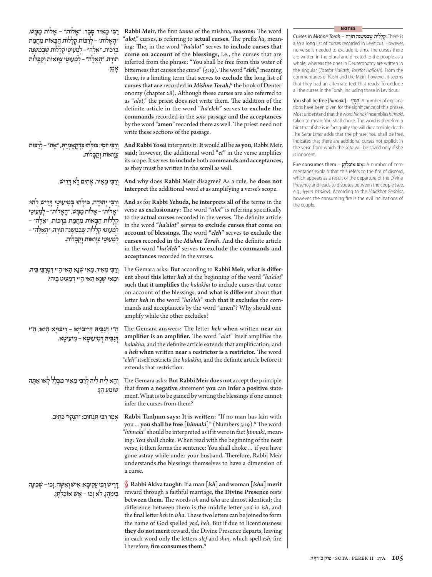|                                                                                                                                                                                                                                                                   |                                                                                                                                                                                                                                                                                                                                                                                                                                                                                                                                                                                                          | <b>NOTES</b>                                                                                                                                                                                                                                                                                                                                                                                                                                                                                                                                                        |
|-------------------------------------------------------------------------------------------------------------------------------------------------------------------------------------------------------------------------------------------------------------------|----------------------------------------------------------------------------------------------------------------------------------------------------------------------------------------------------------------------------------------------------------------------------------------------------------------------------------------------------------------------------------------------------------------------------------------------------------------------------------------------------------------------------------------------------------------------------------------------------------|---------------------------------------------------------------------------------------------------------------------------------------------------------------------------------------------------------------------------------------------------------------------------------------------------------------------------------------------------------------------------------------------------------------------------------------------------------------------------------------------------------------------------------------------------------------------|
| רַבִּי מֵאִיר סַבַר: ״אַלוֹת״ – אַלוֹת מַמַּשׁ,<br>״הָאָלוּת״ – לְרַבּוֹת קְלָלוֹת הַבָּאוֹת מֵחֲמַת<br>בְּרָכוּת, "אֵלֶה" – לְמַעוּטֵי קְלָלוּת שֶׁבִּמְשָׁנֵה<br>תוֹרָה, ״הָאֵלֶּה״ – לְמַעוּטֵי צַוָּוּאוֹת וְקַבָּלוֹת<br>אֲמֵן.                              | Rabbi Meir, the first tanna of the mishna, reasons: The word<br>"alot," curses, is referring to actual curses. The prefix ha, mean-<br>ing: The, in the word "ha'alot" serves to include curses that<br>come on account of the blessings, i.e., the curses that are<br>inferred from the phrase: "You shall be free from this water of<br>bitterness that causes the curse" $(s:19)$ . The word "eleh," meaning                                                                                                                                                                                          | Curses in Mishne Torah – קִלְלוֹת שֶׁבְּמִשְׁנֵה תּוֹרָה There is<br>also a long list of curses recorded in Leviticus. However,<br>no verse is needed to exclude it, since the curses there<br>are written in the plural and directed to the people as a<br>whole, whereas the ones in Deuteronomy are written in<br>the singular (Tosefot HaRash; Tosefot HaRosh). From the                                                                                                                                                                                        |
|                                                                                                                                                                                                                                                                   | these, is a limiting term that serves to exclude the long list of<br>curses that are recorded in Mishne Torah, <sup>N</sup> the book of Deuter-<br>onomy (chapter 28). Although these curses are also referred to<br>as "alot," the priest does not write them. The addition of the<br>definite article in the word "ha'eleh" serves to exclude the<br>commands recorded in the sota passage and the acceptances<br>by the word "amen" recorded there as well. The priest need not<br>write these sections of the passage.                                                                               | commentaries of Rashi and the Meiri, however, it seems<br>that they had an alternate text that reads: To exclude<br>all the curses in the Torah, including those in Leviticus.<br>You shall be free [hinnaki] – הִגְּקֵי; A number of explana-<br>tions have been given for the significance of this phrase.<br>Most understand that the word hinnaki resembles hinnaki,<br>taken to mean: You shall choke. The word is therefore a<br>hint that if she is in fact guilty she will die a terrible death.<br>The Sefat Emet adds that the phrase: You shall be free, |
| וְרַבִּי יוֹסֵי: כּוּלְהוּ כִּדְקָאָמְרַתְּ, ״אֶת״ – לְרַבּוֹת<br>צַוַּואוֹת וְקַבַּלוֹת.                                                                                                                                                                         | And Rabbi Yosei interprets it: It would all be as you, Rabbi Meir,<br>said; however, the additional word "et" in the verse amplifies<br>its scope. It serves to include both commands and acceptances,<br>as they must be written in the scroll as well.                                                                                                                                                                                                                                                                                                                                                 | indicates that there are additional curses not explicit in<br>the verse from which the sota will be saved only if she<br>is innocent.<br>-Fire consumes them – אֵשׁ אוֹכַלְתָּן A number of com<br>mentaries explain that this refers to the fire of discord,                                                                                                                                                                                                                                                                                                       |
| וְרַבִּי מֵאִיר, אֶתִּים לָא דָּרֵישׁ.                                                                                                                                                                                                                            | And why does Rabbi Meir disagree? As a rule, he does not<br>interpret the additional word et as amplifying a verse's scope.                                                                                                                                                                                                                                                                                                                                                                                                                                                                              | which appears as a result of the departure of the Divine<br>Presence and leads to disputes between the couple (see,<br>e.g., lyyun Ya'akov). According to the Halakhot Gedolot,                                                                                                                                                                                                                                                                                                                                                                                     |
| וְרַבִּי יְהוּדָה, כּוּלְהוּ בְּמִיעוּטֵי דָרֵישׁ לְהוּ:<br>״אָלות״ – אָלוֹת מַמָּשׁ, ״הָאָלות״ – לְמַעוּטֵי<br>קַלָלוֹת הַבָּאוֹת מֵחֲמַת בִּרָכוֹת, ״אֵלֶה״ –<br>לְמַעוּטֵי קִלְלוֹת שֶׁבִּמִשְּׁנֵה תוֹרָה, ״הָאֵלֶּה״ –<br>לְמַעוּטֵי צַוָּואוֹת וְקַבַּלוֹת. | And as for Rabbi Yehuda, he interprets all of the terms in the<br>verse as exclusionary: The word "alot" is referring specifically<br>to the actual curses recorded in the verses. The definite article<br>in the word "ha'alot" serves to exclude curses that come on<br>account of blessings. The word "eleh" serves to exclude the<br>curses recorded in the Mishne Torah. And the definite article<br>in the word "ha'eleh" serves to exclude the commands and<br>acceptances recorded in the verses.                                                                                                | however, the consuming fire is the evil inclinations of<br>the couple.                                                                                                                                                                                                                                                                                                                                                                                                                                                                                              |
| וְרַבִּי מֵאִיר, מַאי שְׁנָא הַאי הֵ״י דִּמְרַבֵּי בֵּיהּ,<br>וּמַאי שְׁנָא הַאי הֵ״י דְמַעֵיט בֵּיה?                                                                                                                                                             | The Gemara asks: But according to Rabbi Meir, what is differ-<br>ent about this letter heh at the beginning of the word "ha'alot"<br>such that it amplifies the halakha to include curses that come<br>on account of the blessings, and what is different about that<br>letter heh in the word "ha'eleh" such that it excludes the com-<br>mands and acceptances by the word "amen"? Why should one<br>amplify while the other excludes?                                                                                                                                                                 |                                                                                                                                                                                                                                                                                                                                                                                                                                                                                                                                                                     |
| הֵ״י דְּגַּבֵּיהּ דְּרִיבּוּיָא – רִיבּוּיָא הִיא; הֵ״י<br>דְּגַבִּיהּ דְּמִיעוּטָא – מִיעוּטָא.                                                                                                                                                                  | The Gemara answers: The letter heh when written near an<br>amplifier is an amplifier. The word "alot" itself amplifies the<br>halakha, and the definite article extends that amplification; and<br>a heh when written near a restrictor is a restrictor. The word<br>"eleh" itself restricts the halakha, and the definite article before it<br>extends that restriction.                                                                                                                                                                                                                                |                                                                                                                                                                                                                                                                                                                                                                                                                                                                                                                                                                     |
| וְהָא לֵית לֵיהּ לְרַבִּי מֵאִיר מִכְּלַל לָאו אַתָּה<br>שוֹמֵעַ הֵן!                                                                                                                                                                                             | The Gemara asks: But Rabbi Meir does not accept the principle<br>that from a negative statement you can infer a positive state-<br>ment. What is to be gained by writing the blessings if one cannot<br>infer the curses from them?                                                                                                                                                                                                                                                                                                                                                                      |                                                                                                                                                                                                                                                                                                                                                                                                                                                                                                                                                                     |
| אָמַר רַבִּי תַּנְחוּם: ״הִנָּקִי״ כִּתִיב.                                                                                                                                                                                                                       | Rabbi Tanhum says: It is written: "If no man has lain with<br>you  you shall be free [hinnaki]" (Numbers 5:19). <sup>N</sup> The word<br>"hinnaki" should be interpreted as if it were in fact hinnaki, mean-<br>ing: You shall choke. When read with the beginning of the next<br>verse, it then forms the sentence: You shall choke  if you have<br>gone astray while under your husband. Therefore, Rabbi Meir<br>understands the blessings themselves to have a dimension of<br>a curse.                                                                                                             |                                                                                                                                                                                                                                                                                                                                                                                                                                                                                                                                                                     |
| דָרִישׁ רַבִּי עֲקִיבָא: אִישׁ וְאִשָּׁה, זָכוּ – שְׁכִינָה<br>בֵּינֵיהֵן, לֹא זָכוּ – אֵשׁ אוֹכַלְתַּן.                                                                                                                                                          | <b>S</b> Rabbi Akiva taught: If a man [ish] and woman [isha] merit<br>reward through a faithful marriage, the Divine Presence rests<br>between them. The words ish and isha are almost identical; the<br>difference between them is the middle letter yod in ish, and<br>the final letter heh in isha. These two letters can be joined to form<br>the name of God spelled yod, heh. But if due to licentiousness<br>they do not merit reward, the Divine Presence departs, leaving<br>in each word only the letters alef and shin, which spell esh, fire.<br>Therefore, fire consumes them. <sup>N</sup> |                                                                                                                                                                                                                                                                                                                                                                                                                                                                                                                                                                     |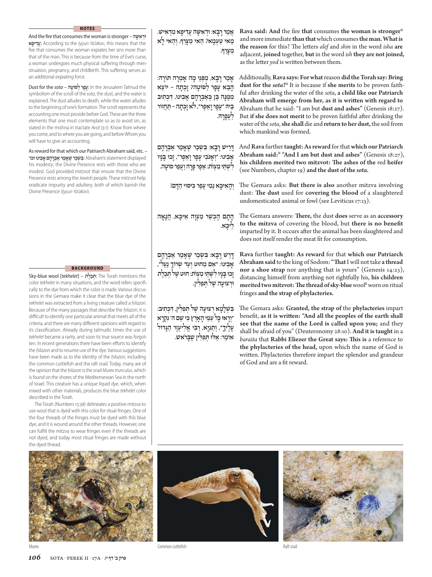#### **NOTES**

 And the fire that consumes the woman is stronger – **שהָּׁאִ דְוּ יפאָ דִעֲ**: According to the *Iyyun Ya'akov*, this means that the fire that consumes the woman expiates her sins more than that of the man. This is because from the time of Eve's curse, a woman undergoes much physical suffering through menstruation, pregnancy, and childbirth. This suffering serves as an additional expiating force.

 Dust for the *sota* – **וֹטהָ סּ לַפרָעָ**: In the Jerusalem Talmud the symbolism of the scroll of the *sota*, the dust, and the water is explained. The dust alludes to death, while the water alludes to the beginning of one's formation. The scroll represents the accounting one must provide before God. These are the three elements that one must contemplate so as to avoid sin, as stated in the mishna in tractate *Avot* (3:1): Know from where you come, and to where you are going, and before Whom you will have to give an accounting.

 As reward for that which our Patriarch Abraham said, etc. – displayed statement s'Abraham : **ִּב ְׂשַכר ֶׁשָאַמר ַא ְבָרָהם ָא ִב ּ ינו וכו׳** his modesty; the Divine Presence rests with those who are modest. God provided mitzvot that ensure that the Divine Presence rests among the Jewish people. These mitzvot help eradicate impurity and adultery, both of which banish the Divine Presence (*Iyyun Ya'akov*).

#### **BACKGROUND**

 Sky-blue wool [*tekhelet*] – **לתֶכֵתְּ** : The Torah mentions the color *tekhelet* in many situations, and the word refers specifically to the dye from which the color is made. Various discussions in the Gemara make it clear that the blue dye of the *tekhelet* was extracted from a living creature called a *ĥilazon*. Because of the many passages that describe the *ĥilazon*, it is difficult to identify one particular animal that meets all of the criteria, and there are many different opinions with regard to its classification. Already during talmudic times the use of *tekhelet* became a rarity, and soon its true source was forgotten. In recent generations there have been efforts to identify the *ĥilazon* and to resume use of the dye. Various suggestions have been made as to the identity of the *ĥilazon*, including the common cuttlefish and the raft snail. Today, many are of the opinion that the *ĥilazon* is the snail *Murex trunculus*, which is found on the shores of the Mediterranean Sea in the north of Israel. This creature has a unique liquid dye, which, when mixed with other materials, produces the blue *tekhelet* color described in the Torah.

The Torah (Numbers 15:38) delineates a positive mitzva to use wool that is dyed with this color for ritual fringes. One of the four threads of the fringes must be dyed with this blue dye, and it is wound around the other threads. However, one can fulfill the mitzva to wear fringes even if the threads are not dyed, and today most ritual fringes are made without the dyed thread.



**ָאַמרָרָבא, ִמְּפֵני ָמה ָא ְמָרה ּתָוֹרה: ָהֵבא ָעָפר ַל ּס ָוֹטה? ָז ְכָתה – ֵ יוֹצא ּכַא ְבָרָהם ָא ִב ּ ינו, ִ ּד ְכ ִתיב ִמ ֶּמָּנה ֵּבן ְ ֵּב ּיה ָ״עָפרָוֵאֶפר״, לֹאָז ְכָתה – ַּתֲחזוֹר ַלֲעָפָרּה.**

**ָּדֵר ׁישָרָבא: ִּב ְׂשַכר ֶׁשָאַמר ַא ְבָרָהם ָא ִב ּ ינו: ְ״וָאנֹ ִכי ָעָפרָוֵאֶפר״, ָז ּכו ָּבָניו ִל ׁ ְשֵּתי ִמ ְצוֹת: ֵאֶפר ָּפָרהַוֲעַפר ָסוֹטה.**

**ּכ ּיסּוי ַהָּדם! ּיכא ַנִמיֲעַפר ִ ְוָה ִא ָ**

**ּיכא, ֲהָנָאה ָהָתם ֶה ְכ ֵׁשר ִמ ְצָוה ִא ָ ּיכא. ֵל ָ**

**ָּדַרׁשָרָבא: ִּב ְׂשַכר ֶׁשָאַמר ַא ְבָרָהם ָא ִב ּ ינו: ִ״אם ִמ ּחוט ְוַעד ְׂש ְרוֹך ַנַעל״, ָז ּכו ָּבָניו ִל ׁ ְשֵּתי ִמ ְצוֹת: ּחוט ֶׁשל ְּתֵכֶלת ּלין. ּוְר ּצוָעה ֶׁשל ְּתִפ ִ**

**ִּבׁ ְשָלָמא ְר ּצוָעה ֶׁשל ְּתִפ ִּלין, ִ ּד ְכ ִתיב: ּכי ֵׁשם ה' ִנְקָרא ּכל ַע ֵּמי ָהָאֶרץ ִ ְ״וָר ּאו ָ ָעֶל ָיך״, ְוַתְנָיא, ַרִּבי ֱאִל ֶיעֶזר ַהָּגדוֹל ֵאוֹמר: ֵא ּלּו ְּתִפ ִּלין ֶׁשָּברֹ ׁאש.** Rava said: And the fire that consumes the woman is stronger<sup>N</sup> and more immediate **than that** which consumes **the man. What is**  the reason for this? The letters *alef* and *shin* in the word *isha* are adjacent, **joined** together, **but** in the word *ish* **they are not joined,**  as the letter *yod* is written between them.

Additionally, **Rava says: For what** reason **did the Torah say: Bring**  dust for the *sota*?<sup>N</sup> It is because if she merits to be proven faithful after drinking the water of the *sota*, a child like our Patriarch Abraham will emerge from her, as it is written with regard to Abraham that he said: "I am but dust and ashes" (Genesis 18:27). But if she does not merit to be proven faithful after drinking the water of the *sota*, **she shall** die and **return to her dust,** the soil from which mankind was formed.

And **Rava** further **taught: As reward** for that **which our Patriarch**  Abraham said:<sup>N</sup> "And I am but dust and ashes" (Genesis 18:27), **his children merited two mitzvot: Th e ashes of the** red **heifer**  (see Numbers, chapter 19) and the dust of the *sota*.

The Gemara asks: But there is also another mitzva involving dust: **Th e dust** used for **covering the blood** of a slaughtered undomesticated animal or fowl (see Leviticus  $17:13$ ).

The Gemara answers: There, the dust does serve as an accessory **to the mitzva** of covering the blood, but **there is no benefi t**  imparted by it. It occurs after the animal has been slaughtered and does not itself render the meat fit for consumption.

**Rava** further **taught: As reward** for that **which our Patriarch Abraham said** to the king of Sodom: **"Th at** I will not take **a thread**  nor a shoe strap nor anything that is yours" (Genesis 14:23), distancing himself from anything not rightfully his, **his children merited two mitzvot: The thread of sky-blue** wool<sup>B</sup> worn on ritual fringes **and the strap of phylacteries.**

The Gemara asks: Granted, the strap of the phylacteries impart benefit, as it is written: "And all the peoples of the earth shall **see that the name of the Lord is called upon you;** and they shall be afraid of you" (Deuteronomy 28:10). And it is taught in a *baraita* that **Rabbi Eliezer the Great says: Th is is** a reference to **the phylacteries of the head,** upon which the name of God is written. Phylacteries therefore impart the splendor and grandeur of God and are a fit reward.



**Mure** 





Common cuttlefish **Raft snail**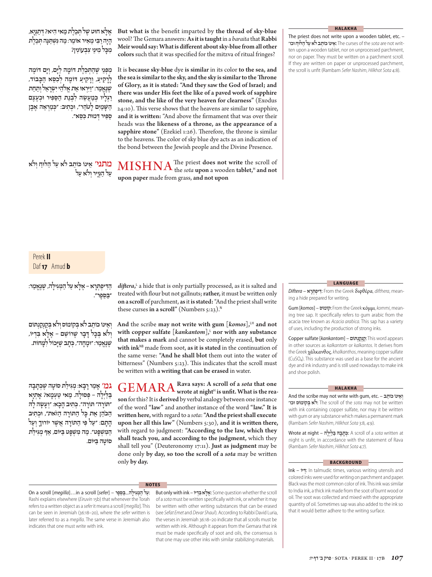**ּלא ּחוט ֶׁשל ְּתֵכֶלת ַמאי ִהיא? ְ ּדַתְנָיא, ֶאָ ּנׁ ְשַּתָּנה ְּתֵכֶלת ָהָיהַרִּבי ֵמ ִאיר ֵאוֹמר: ַמה ִ ּכל ִמ ֵיני ִצ ְב ִעוֹנין? ִמָ**

**ִמְּפֵני ֶׁשַה ְּתֵכֶלת ּד ָוֹמה ַלָיּם, ְוָים ּד ֶוֹמה ּכבוֹד, ָלָרִק יע, ְוָרִק יע ּד ֶוֹמה ְל ִכ ֵּסא ַהָ ֶׁשֶּנֱאַמר: ַ״וִיְּר ּאו ֵאתֱאלֵֹהי ִי ְׂשָרֵאל ְוַתַחת ּכַמֲע ֵׂשה ִל ְבַנת ַה ַּסִּפיר ּו ְכֶעֶצם ַרְגָליו ְ ּ״כַמְרֵאה ֶאֶבן ַהָּׁשַמִים ָלטַֹהר״, ּו ְכ ִתיב: ְ ּכ ֵּסא״. ַסִּפיר ְ ּד ּמות ִ**

**מתני׳ ֵאינוֹ ּכ ֵוֹתב לֹא ַעל ַה ּלּוח ְולֹא ַעל ַהְּנָיירְולֹא ַעל** **But what is** the benefit imparted by **the thread of sky-blue**  wool? The Gemara answers: As it is taught in a *baraita* that Rabbi **Meir would say: What is diff erent about sky-blue from all other**  colors such that it was specified for the mitzva of ritual fringes?

It is **because sky-blue** dye **is similar** in its color **to the sea, and the sea is similar to the sky, and the sky is similar to the Th rone of Glory, as it is stated: "And they saw the God of Israel; and there was under His feet the like of a paved work of sapphire stone, and the like of the very heaven for clearness"** (Exodus 24:10). This verse shows that the heavens are similar to sapphire, and it is written: "And above the firmament that was over their heads was **the likeness of a throne, as the appearance of a**  sapphire stone" (Ezekiel 1:26). Therefore, the throne is similar to the heavens. The color of sky blue dye acts as an indication of the bond between the Jewish people and the Divine Presence.

 $\bf{MISHNA}^{\text{The priest does not write the scroll of}}$ **upon paper** made from grass, **and not upon**

#### **HALAKHA**

 The priest does not write upon a wooden tablet, etc. – **וכו׳ חוּלּ הַ עלַ אֹל וֹתבֵ כּ אינוֵֹ**: The curses of the *sota* are not written upon a wooden tablet, nor on unprocessed parchment, nor on paper. They must be written on a parchment scroll. If they are written on paper or unprocessed parchment, the scroll is unfit (Rambam *Sefer Nashim*, *Hilkhot Sota* 4:8).

# Perek **II** Daf **17** Amud **b**

**ּילה, ֶׁשֶּנֱאַמר: ּלא ַעל ַה ְּמִג ָ ַהִ ּד ְיפ ְּתָרא – ֶאָ ַּ״ב ֵּסֶפר״.**

**ְוֵאינוֹ ּכ ֵוֹתב לֹא ְּבקוֹמוֹס ְולֹא ְּבַקְנַקְנּתוֹם ּלא ִּבְדיוֹ, ְולֹא ְּבָכל ָּדָבר ֶׁש ֵׁ רוֹשם – ֶאָ ּכָתב ֶׁשָיּכוֹל ִל ָּמחוֹת. ֶׁשֶּנֱאַמר: ּ״וָמָחה״, ְ**

**ּכָתָב ּה גמ׳ ָאַמרָרָבא: ְמִג ַּילת ָסוֹטה ֶׁשְ ַּבַּלְיָלה – ְּפ ּסוָלה. ַמאי ַט ְעָמא? ָא ְתָיא ּכ ִתיב ָהָכא: ְ״וָע ָׂשה ָל ּה ּ״תָוֹרה״ ּתָוֹרה״. ְ ּכל ַה ּתָוֹרה ַהזֹּאת״, ּו ְכ ִתיב ַה ּכֵֹהן ֵאת ָ ָהָתם: ַ״על ִּפי ַה ּתָוֹרה ֲאֶׁשר ּ יוֹרוָך ְוַעל ַה ִּמׁ ְשָּפט״. ַמה ִּמׁ ְשָּפט ַּביּוֹם, ַאף ְמִג ַּילת ָסוֹטה ַּביּוֹם.**

diftera,<sup>t</sup> a hide that is only partially processed, as it is salted and treated with flour but not gallnuts; rather, it must be written only **on a scroll** of parchment, **as** it **is stated:** "And the priest shall write these curses in a scroll" (Numbers 5:23).<sup>N</sup>

And the scribe may not write with gum [ $komos$ ],<sup>LH</sup> and not with copper sulfate  $[kankanton]$ , nor with any substance **that makes a mark** and cannot be completely erased, **but** only with ink<sup>NB</sup> made from soot, as it is stated in the continuation of the same verse: **"And he shall blot** them out into the water of bitterness" (Numbers  $\zeta$ :23). This indicates that the scroll must be written with a writing that can be erased in water.

**GEMARA** Rava says: A scroll of a *sota* that one **GEMARA** wrote at night<sup>H</sup> is unfit. What is the rea**son** for this? It is **derived** by verbal analogy between one instance of the word **"law"** and another instance of the word **"law." It is writt en here,** with regard to a *sota*: **"And the priest shall execute upon her all this law"** (Numbers 5:30), and it is written there, with regard to judgment: **"According to the law, which they shall teach you, and according to the judgment,** which they shall tell you" (Deuteronomy 17:11). **Just as judgment** may be done only by day, so too the scroll of a *sota* may be written only **by day.**

# **NOTES**

**ַ**:**על ַה ְּמִג ָּילה...ַּב ֵּסֶפר** – [*sefer* [scroll a in]…*megilla* [scroll a On Rashi explains elsewhere (*Eiruvin* 15b) that whenever the Torah refers to a written object as a *sefer* it means a scroll [*megilla*]. This can be seen in Jeremiah (36:18–20), where the *sefer* written is later referred to as a *megilla*. The same verse in Jeremiah also indicates that one must write with ink.

 But only with ink – **דיוְֹבִּ לאָּאֶ**: Some question whether the scroll of a *sota* must be written specifically with ink, or whether it may be written with other writing substances that can be erased (see *Sefat Emet* and *Devar Shaul*). According to Rabbi David Luria, the verses in Jeremiah 36:18–20 indicate that all scrolls must be written with ink. Although it appears from the Gemara that ink must be made specifically of soot and oils, the consensus is that one may use other inks with similar stabilizing materials.

# **LANGUAGE**

*Diftera* – **ראָתְּ יפְ דּ ִ**: From the Greek διφθέρα, *difthera*, meaning a hide prepared for writing.

 Gum [*komos*] – **קוֹמוֹס**: From the Greek κόμμι, *kommi*, meaning tree sap. It specifically refers to gum arabic from the acacia tree known as *Acacia arabica*. This sap has a variety of uses, including the production of strong inks.

 Copper sulfate [*kankantom*] – **תוֹםּנְקַנְקַ**: This word appears in other sources as *kalkantom* or *kalkantos*. It derives from the Greek χάλκανθος, khalkanthos, meaning copper sulfate (CuSO₄). This substance was used as a base for the ancient dye and ink industry and is still used nowadays to make ink and shoe polish.

#### **HALAKHA**

 And the scribe may not write with gum, etc. – **וֹתבֵ כּ אינוֵֹוְ וכו׳ בקוֹמוֹסְּ אֹל**: The scroll of the *sota* may not be written with ink containing copper sulfate, nor may it be written with gum or any substance which makes a permanent mark (Rambam *Sefer Nashim*, *Hilkhot Sota* 3:8, 4:9).

**ּכָתָב ּה ַּבַּלְיָלה** – night at Wrote **ְ** : A scroll of a *sota* written at night is unfit, in accordance with the statement of Rava (Rambam *Sefer Nashim*, *Hilkhot Sota* 4:7).

#### **BACKGROUND**

 Ink – **דיוֹּ ְ**: In talmudic times, various writing utensils and colored inks were used for writing on parchment and paper. Black was the most common color of ink. This ink was similar to India ink, a thick ink made from the soot of burnt wood or oil. The soot was collected and mixed with the appropriate quantity of oil. Sometimes sap was also added to the ink so that it would better adhere to the writing surface.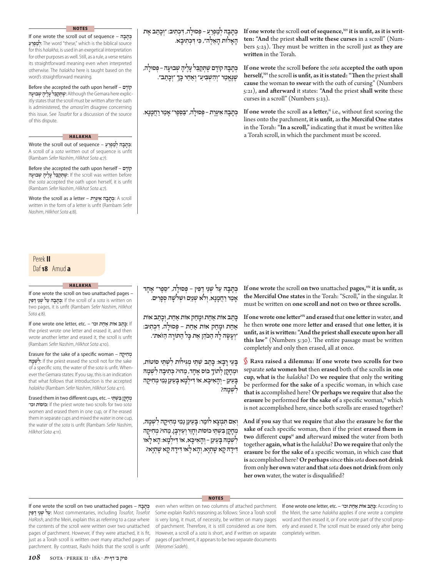#### **NOTES**

 If one wrote the scroll out of sequence – **הּ בָתָכּ ְעַרֵפְ מַלְ** : The word "these," which is the biblical source for this *halakha*, is used in an exegetical interpretation for other purposes as well. Still, as a rule, a verse retains its straightforward meaning even when interpreted otherwise. The *halakha* here is taught based on the word's straightforward meaning.

 Before she accepted the oath upon herself – **קוֹדםֶ עהָבוּ שְ ׁ יהָ לֶעָ בלֵּקַתְּשֶׁ** : Although the Gemara here explicitly states that the scroll must be written after the oath is administered, the *amora'im* disagree concerning this issue. See *Tosafot* for a discussion of the source of this dispute.

## **HALAKHA**

**ּכָתָב ּה ְלַמ ְפֵרַע** – sequence of out scroll the Wrote **ְ** : A scroll of a *sota* written out of sequence is unfit (Rambam *Sefer Nashim*, *Hilkhot Sota* 4:7).

 Before she accepted the oath upon herself – **קוֹדםֶ** before written was scroll the If : **ֶׁשְּתַקֵּבל ָעֶל ָיה ׁ ְש ּבוָעה** the *sota* accepted the oath upon herself, it is unfit (Rambam *Sefer Nashim*, *Hilkhot Sota* 4:7).

**Wrote the scroll as a letter – יִבְּתֲבָהּ אִיגֵּרֵת.** A scroll written in the form of a letter is unfit (Rambam *Sefer Nashim*, *Hilkhot Sota* 4:8).

# Perek **II**

# Daf **18** Amud **a**

### **HALAKHA**

 If one wrote the scroll on two unattached pages – **ּכִּתֲבָהּ עַל שְׁנֵי דַפִּין:** If the scroll of a *sota* is written on two pages, it is unfit (Rambam *Sefer Nashim*, *Hilkhot Sota* 4:8).

 If one wrote one letter, etc. – **וכו׳ חתַאַ אוֹת תבַכָּ**: If the priest wrote one letter and erased it, and then wrote another letter and erased it, the scroll is unfit (Rambam *Sefer Nashim*, *Hilkhot Sota* 4:10).

 Erasure for the sake of a specific woman – **יקהָ חִ מְ הּ מָשְ ׁ לִ** : If the priest erased the scroll not for the sake of a specific *sota*, the water of the *sota* is unfit. Whenever the Gemara states: If you say, this is an indication that what follows that introduction is the accepted *halakha* (Rambam *Sefer Nashim*, *Hilkhot Sota* 4:11).

 Erased them in two different cups, etc. – **תיֵּשְ ׁבִּ קןָחָמְ וכו׳ כוֹסוֹת**: If the priest wrote two scrolls for two *sota* women and erased them in one cup, or if he erased them in separate cups and mixed the water in one cup, the water of the *sota* is unfit (Rambam *Sefer Nashim*, *Hilkhot Sota* 4:11).

**ּכָתָב ּה ַעל ׁ ְשֵני ַד ִּפין – ְּפ ּסוָלה, ֵ״סֶפר״ ֶאָחד ְ ָאַמרַרֲחָמָנא, ְולֹא ׁ ְשַנִים ּו ׁ ְשלֹ ָׁשה ְסָפִרים.**

**ּכָתָב ּה ְלַמ ְפֵרע – ְּפ ּסוָלה, ִ ּד ְכ ִתיב: ְ״וָכַתב ֶאת**

**ּכָתָב ּה ֶקוֹדם ֶׁשְּתַקֵּבל ָעֶל ָיה ׁ ְש ּבוָעה – ְּפ ּסוָלה,** 

**ּכָתָב ּה ִאֶּיגֶרת – ְּפ ּסוָלה, ַּ״ב ֵּסֶפר״ ָאַמרַרֲחָמָנא.**

**ּכ ְך ְ״וָכַתב״. ֶׁשֶּנֱאַמר ְ״ו ִהׁ ְשִּב יע״ ְוַאַחר ָ**

**ּכי ִ ּד ְכ ִת ָיבא. ָהָאלוֹת ָהֵאֶּלה״, ִ**

**ְ**

**ְ**

**ְ**

**ּכַתב אוֹת ַאַחת ּוָמַחק אוֹת ַאַחת, ְוָכַתב אוֹת ָ ַאַחת ּוָמַחק אוֹת ַאַחת – ְּפ ּסוָלה, ִ ּד ְכ ִתיב: ּכל ַה ּתָוֹרה ַהזֹּאת״. ְ״וָע ָׂשה ָל ּה ַה ּכֵֹהן ֵאת ָ**

**ּכַתב ׁ ְשֵּתי ְמִג ּילוֹת ִל ׁ ְשֵּתי סוֹטוֹת, ָּבֵעיָרָבא: ָ ּכ ִת ָיבה ִל ׁ ְשָמ ּה ּו ְמָחָקן ְל ְתוֹך ּכוֹס ֶאָחד, ַמ ּהו? ְ ּיכא, אוֹ ִ ּד ְילָמא ָּבֵע ַינן ַנִמי ְמ ִח ָיקה ָּבֵע ַינן – ְוָה ִא ָ ִל ׁ ְשָמ ּה?**

**ְו ִאם ִּת ְמָצא ַלוֹמר: ָּבֵע ַינן ַנִמי ְמ ִח ָיקה ִל ׁ ְשָמ ּה, ְמָחָקן ִּבׁ ְשֵּתי כוֹסוֹתְוָחַזרְוֵע ְירָבן, ַמ ּהו? ְמ ִח ָיקה ּיכא, אוֹ ִ ּד ְילָמא: ָהא ָלאו ִל ׁ ְשָמ ּה ָּבֵע ַינן – ְוָה ִא ָ ִ ּד ָיד ּהָקא ָׁשְתָיא, ְוָהא ָלאו ִ ּד ָיד ּהָקא ָׁשְתָיא?** If one wrote the scroll out of sequence,<sup>NH</sup> it is unfit, as it is writ**ten: "And** the priest **shall write these curses** in a scroll" (Numbers 5:23). They must be written in the scroll just as they are written in the Torah.

**If one wrote** the scroll **before** the *sota* **accepted the oath upon**   $h$ erself,<sup>NH</sup> the scroll is unfit, as it is stated: "Then the priest shall **cause** the woman **to swear** with the oath of cursing" (Numbers Ʃ:Ʀƥ), **and aft erward** it states: **"And** the priest **shall write** these curses in a scroll" (Numbers 5:23).

If one wrote the scroll as a letter,<sup>H</sup> i.e., without first scoring the lines onto the parchment, it is unfit, as the Merciful One states in the Torah: "In a scroll," indicating that it must be written like a Torah scroll, in which the parchment must be scored.

If one wrote the scroll on two unattached pages,  $H N$  it is unfit, as **the Merciful One states** in the Torah: "Scroll," in the singular. It must be written on one scroll and not on two or three scrolls.

If one wrote one letter<sup>HN</sup> and erased that one letter in water, and he then **wrote one** more **lett er and erased** that **one lett er, it is unfi t, as it is writt en: "And the priest shall execute upon her all**  this law" (Numbers 5:30). The entire passage must be written completely and only then erased, all at once.

§ **Rava raised a dilemma: If one wrote two scrolls for two**  separate *sota* **women but** then **erased** both of the scrolls **in one cup, what is** the *halakha*? Do **we require** that only the **writing**  be performed **for the sake of** a specific woman, in which case **that is** accomplished here? **Or perhaps we require** that **also** the erasure be performed for the sake of a specific woman,<sup>H</sup> which is not accomplished here, since both scrolls are erased together?

**And if you say** that **we require** that **also** the **erasure** be **for the sake of** each specific woman, then if the priest **erased them in**  two different cups<sup>H</sup> and afterward mixed the water from both together **again, what is** the *halakha*? **Do we require** that only the **erasure** be **for the sake of** a specific woman, in which case **that is** accomplished here? **Or perhaps** since **this** *sota* **does not drink**  from only **her own** water **and that** *sota* **does not drink** from only her own water, the water is disqualified?

 If one wrote the scroll on two unattached pages – **הּ בָתָכּ ְ** *Tosefot* ,*Tosafot* including ,commentaries Most **ַ**:**על ׁ ְשֵני ַד ִּפין** *HaRosh*, and the Meiri, explain this as referring to a case where the contents of the scroll were written over two unattached pages of parchment. However, if they were attached, it is fit, just as a Torah scroll is written over many attached pages of parchment. By contrast, Rashi holds that the scroll is unfit

## even when written on two columns of attached parchment. Some explain Rashi's reasoning as follows: Since a Torah scroll is very long, it must, of necessity, be written on many pages of parchment. Therefore, it is still considered as one item. However, a scroll of a *sota* is short, and if written on separate pages of parchment, it appears to be two separate documents (*Meromei Sadeh*).

**NOTES**

 If one wrote one letter, etc. – **וכו׳ חתַאַ אוֹת תבַכָּ**: According to the Meiri, the same *halakha* applies if one wrote a complete word and then erased it, or if one wrote part of the scroll properly and erased it. The scroll must be erased only after being completely written.